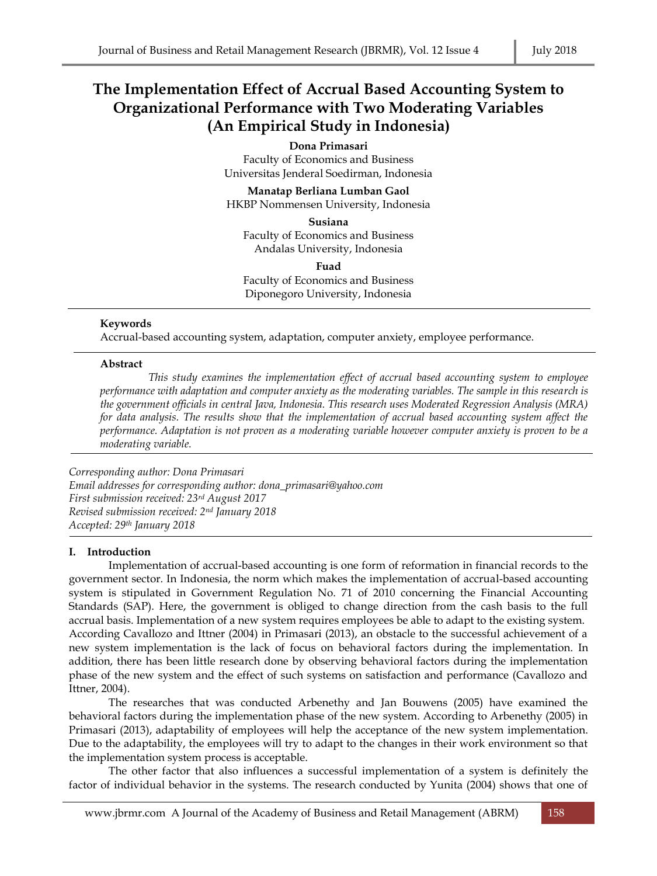# **The Implementation Effect of Accrual Based Accounting System to Organizational Performance with Two Moderating Variables (An Empirical Study in Indonesia)**

#### **Dona Primasari**

Faculty of Economics and Business Universitas Jenderal Soedirman, Indonesia

**Manatap Berliana Lumban Gaol** HKBP Nommensen University, Indonesia

**Susiana** Faculty of Economics and Business

Andalas University, Indonesia

**Fuad** 

Faculty of Economics and Business Diponegoro University, Indonesia

#### **Keywords**

Accrual-based accounting system, adaptation, computer anxiety, employee performance.

#### **Abstract**

*This study examines the implementation effect of accrual based accounting system to employee performance with adaptation and computer anxiety as the moderating variables. The sample in this research is the government officials in central Java, Indonesia. This research uses Moderated Regression Analysis (MRA) for data analysis. The results show that the implementation of accrual based accounting system affect the performance. Adaptation is not proven as a moderating variable however computer anxiety is proven to be a moderating variable.*

*Corresponding author: Dona Primasari Email addresses for corresponding author: dona\_primasari@yahoo.com First submission received: 23rd August 2017 Revised submission received: 2nd January 2018 Accepted: 29th January 2018*

#### **I. Introduction**

Implementation of accrual-based accounting is one form of reformation in financial records to the government sector. In Indonesia, the norm which makes the implementation of accrual-based accounting system is stipulated in Government Regulation No. 71 of 2010 concerning the Financial Accounting Standards (SAP). Here, the government is obliged to change direction from the cash basis to the full accrual basis. Implementation of a new system requires employees be able to adapt to the existing system. According Cavallozo and Ittner (2004) in Primasari (2013), an obstacle to the successful achievement of a new system implementation is the lack of focus on behavioral factors during the implementation. In addition, there has been little research done by observing behavioral factors during the implementation phase of the new system and the effect of such systems on satisfaction and performance (Cavallozo and Ittner, 2004).

The researches that was conducted Arbenethy and Jan Bouwens (2005) have examined the behavioral factors during the implementation phase of the new system. According to Arbenethy (2005) in Primasari (2013), adaptability of employees will help the acceptance of the new system implementation. Due to the adaptability, the employees will try to adapt to the changes in their work environment so that the implementation system process is acceptable.

The other factor that also influences a successful implementation of a system is definitely the factor of individual behavior in the systems. The research conducted by Yunita (2004) shows that one of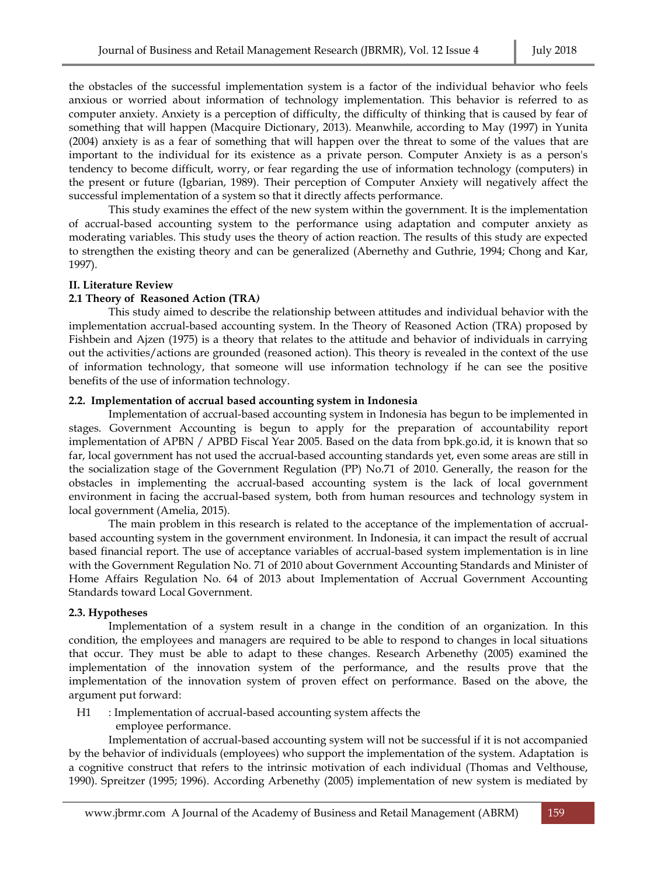the obstacles of the successful implementation system is a factor of the individual behavior who feels anxious or worried about information of technology implementation. This behavior is referred to as computer anxiety. Anxiety is a perception of difficulty, the difficulty of thinking that is caused by fear of something that will happen (Macquire Dictionary, 2013). Meanwhile, according to May (1997) in Yunita (2004) anxiety is as a fear of something that will happen over the threat to some of the values that are important to the individual for its existence as a private person. Computer Anxiety is as a person's tendency to become difficult, worry, or fear regarding the use of information technology (computers) in the present or future (Igbarian, 1989). Their perception of Computer Anxiety will negatively affect the successful implementation of a system so that it directly affects performance.

This study examines the effect of the new system within the government. It is the implementation of accrual-based accounting system to the performance using adaptation and computer anxiety as moderating variables. This study uses the theory of action reaction. The results of this study are expected to strengthen the existing theory and can be generalized (Abernethy and Guthrie, 1994; Chong and Kar, 1997).

#### **II. Literature Review**

#### **2.1 Theory of Reasoned Action (TRA***)*

This study aimed to describe the relationship between attitudes and individual behavior with the implementation accrual-based accounting system. In the Theory of Reasoned Action (TRA) proposed by Fishbein and Ajzen (1975) is a theory that relates to the attitude and behavior of individuals in carrying out the activities/actions are grounded (reasoned action). This theory is revealed in the context of the use of information technology, that someone will use information technology if he can see the positive benefits of the use of information technology.

#### **2.2. Implementation of accrual based accounting system in Indonesia**

Implementation of accrual-based accounting system in Indonesia has begun to be implemented in stages. Government Accounting is begun to apply for the preparation of accountability report implementation of APBN / APBD Fiscal Year 2005. Based on the data from bpk.go.id, it is known that so far, local government has not used the accrual-based accounting standards yet, even some areas are still in the socialization stage of the Government Regulation (PP) No.71 of 2010. Generally, the reason for the obstacles in implementing the accrual-based accounting system is the lack of local government environment in facing the accrual-based system, both from human resources and technology system in local government (Amelia, 2015).

The main problem in this research is related to the acceptance of the implementation of accrualbased accounting system in the government environment. In Indonesia, it can impact the result of accrual based financial report. The use of acceptance variables of accrual-based system implementation is in line with the Government Regulation No. 71 of 2010 about Government Accounting Standards and Minister of Home Affairs Regulation No. 64 of 2013 about Implementation of Accrual Government Accounting Standards toward Local Government.

#### **2.3. Hypotheses**

Implementation of a system result in a change in the condition of an organization. In this condition, the employees and managers are required to be able to respond to changes in local situations that occur. They must be able to adapt to these changes. Research Arbenethy (2005) examined the implementation of the innovation system of the performance, and the results prove that the implementation of the innovation system of proven effect on performance. Based on the above, the argument put forward:

H1 : Implementation of accrual-based accounting system affects the employee performance.

Implementation of accrual-based accounting system will not be successful if it is not accompanied by the behavior of individuals (employees) who support the implementation of the system. Adaptation is a cognitive construct that refers to the intrinsic motivation of each individual (Thomas and Velthouse, 1990). Spreitzer (1995; 1996). According Arbenethy (2005) implementation of new system is mediated by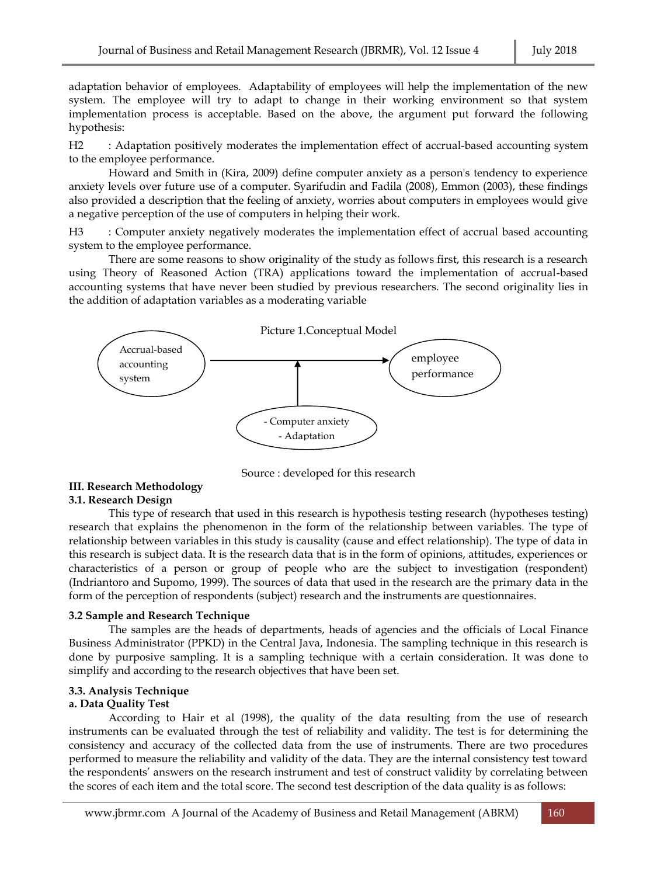adaptation behavior of employees. Adaptability of employees will help the implementation of the new system. The employee will try to adapt to change in their working environment so that system implementation process is acceptable. Based on the above, the argument put forward the following hypothesis:

H2 : Adaptation positively moderates the implementation effect of accrual-based accounting system to the employee performance.

Howard and Smith in (Kira, 2009) define computer anxiety as a person's tendency to experience anxiety levels over future use of a computer. Syarifudin and Fadila (2008), Emmon (2003), these findings also provided a description that the feeling of anxiety, worries about computers in employees would give a negative perception of the use of computers in helping their work.

H3 : Computer anxiety negatively moderates the implementation effect of accrual based accounting system to the employee performance.

There are some reasons to show originality of the study as follows first, this research is a research using Theory of Reasoned Action (TRA) applications toward the implementation of accrual-based accounting systems that have never been studied by previous researchers. The second originality lies in the addition of adaptation variables as a moderating variable



Source : developed for this research

#### **III. Research Methodology 3.1. Research Design**

This type of research that used in this research is hypothesis testing research (hypotheses testing) research that explains the phenomenon in the form of the relationship between variables. The type of relationship between variables in this study is causality (cause and effect relationship). The type of data in this research is subject data. It is the research data that is in the form of opinions, attitudes, experiences or characteristics of a person or group of people who are the subject to investigation (respondent) (Indriantoro and Supomo, 1999). The sources of data that used in the research are the primary data in the form of the perception of respondents (subject) research and the instruments are questionnaires.

#### **3.2 Sample and Research Technique**

The samples are the heads of departments, heads of agencies and the officials of Local Finance Business Administrator (PPKD) in the Central Java, Indonesia. The sampling technique in this research is done by purposive sampling. It is a sampling technique with a certain consideration. It was done to simplify and according to the research objectives that have been set.

## **3.3. Analysis Technique**

#### **a. Data Quality Test**

According to Hair et al (1998), the quality of the data resulting from the use of research instruments can be evaluated through the test of reliability and validity. The test is for determining the consistency and accuracy of the collected data from the use of instruments. There are two procedures performed to measure the reliability and validity of the data. They are the internal consistency test toward the respondents' answers on the research instrument and test of construct validity by correlating between the scores of each item and the total score. The second test description of the data quality is as follows: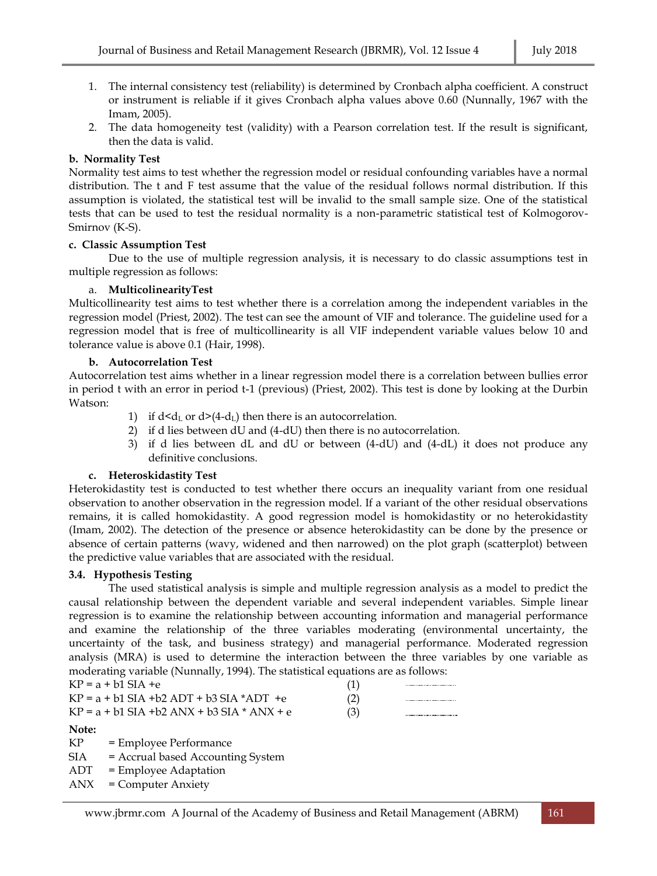- 1. The internal consistency test (reliability) is determined by Cronbach alpha coefficient. A construct or instrument is reliable if it gives Cronbach alpha values above 0.60 (Nunnally, 1967 with the Imam, 2005).
- 2. The data homogeneity test (validity) with a Pearson correlation test. If the result is significant, then the data is valid.

## **b. Normality Test**

Normality test aims to test whether the regression model or residual confounding variables have a normal distribution. The t and F test assume that the value of the residual follows normal distribution. If this assumption is violated, the statistical test will be invalid to the small sample size. One of the statistical tests that can be used to test the residual normality is a non-parametric statistical test of Kolmogorov-Smirnov (K-S).

## **c. Classic Assumption Test**

Due to the use of multiple regression analysis, it is necessary to do classic assumptions test in multiple regression as follows:

#### a. **MulticolinearityTest**

Multicollinearity test aims to test whether there is a correlation among the independent variables in the regression model (Priest, 2002). The test can see the amount of VIF and tolerance. The guideline used for a regression model that is free of multicollinearity is all VIF independent variable values below 10 and tolerance value is above 0.1 (Hair, 1998).

## **b. Autocorrelation Test**

Autocorrelation test aims whether in a linear regression model there is a correlation between bullies error in period t with an error in period t-1 (previous) (Priest, 2002). This test is done by looking at the Durbin Watson:

- 1) if  $d < d<sub>L</sub>$  or  $d > (4-d<sub>L</sub>)$  then there is an autocorrelation.
- 2) if d lies between dU and (4-dU) then there is no autocorrelation.
- 3) if d lies between dL and dU or between (4-dU) and (4-dL) it does not produce any definitive conclusions.

#### **c. Heteroskidastity Test**

Heterokidastity test is conducted to test whether there occurs an inequality variant from one residual observation to another observation in the regression model. If a variant of the other residual observations remains, it is called homokidastity. A good regression model is homokidastity or no heterokidastity (Imam, 2002). The detection of the presence or absence heterokidastity can be done by the presence or absence of certain patterns (wavy, widened and then narrowed) on the plot graph (scatterplot) between the predictive value variables that are associated with the residual.

#### **3.4. Hypothesis Testing**

The used statistical analysis is simple and multiple regression analysis as a model to predict the causal relationship between the dependent variable and several independent variables. Simple linear regression is to examine the relationship between accounting information and managerial performance and examine the relationship of the three variables moderating (environmental uncertainty, the uncertainty of the task, and business strategy) and managerial performance. Moderated regression analysis (MRA) is used to determine the interaction between the three variables by one variable as moderating variable (Nunnally, 1994). The statistical equations are as follows:

| moderating variable pourtinary, 1994). The statistical equations are as for |     |  |
|-----------------------------------------------------------------------------|-----|--|
| $KP = a + b1$ SIA +e                                                        | (1) |  |
| $KP = a + b1$ SIA +b2 ADT + b3 SIA *ADT +e                                  | (2) |  |
| ___<br>.<br>.                                                               |     |  |

| KP = a + b1 SIA +b2 ANX + b3 SIA * ANX + e | (3) |  |
|--------------------------------------------|-----|--|
|                                            |     |  |

. . . . . . . . . . . . . . . . . .

## **Note:**

KP = Employee Performance

SIA = Accrual based Accounting System

ADT = Employee Adaptation

ANX = Computer Anxiety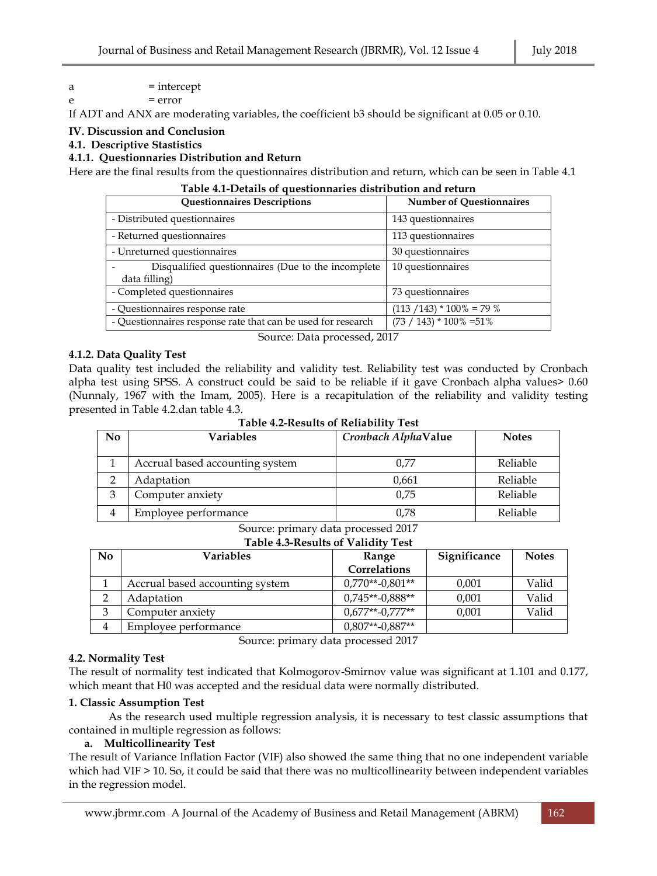## $a =$  intercept

 $= error$ 

If ADT and ANX are moderating variables, the coefficient b3 should be significant at 0.05 or 0.10.

### **IV. Discussion and Conclusion**

**4.1. Descriptive Stastistics**

### **4.1.1. Questionnaries Distribution and Return**

Here are the final results from the questionnaires distribution and return, which can be seen in Table 4.1

| Table 4.1-Details of questionnaries distribution and return         |                                 |  |  |  |  |  |  |
|---------------------------------------------------------------------|---------------------------------|--|--|--|--|--|--|
| <b>Questionnaires Descriptions</b>                                  | <b>Number of Questionnaires</b> |  |  |  |  |  |  |
| - Distributed questionnaires                                        | 143 questionnaires              |  |  |  |  |  |  |
| - Returned questionnaires                                           | 113 questionnaires              |  |  |  |  |  |  |
| - Unreturned questionnaires                                         | 30 questionnaires               |  |  |  |  |  |  |
| Disqualified questionnaires (Due to the incomplete<br>data filling) | 10 questionnaires               |  |  |  |  |  |  |
| - Completed questionnaires                                          | 73 questionnaires               |  |  |  |  |  |  |
| - Questionnaires response rate                                      | $(113 / 143) * 100\% = 79\%$    |  |  |  |  |  |  |
| - Questionnaires response rate that can be used for research        | $(73 / 143) * 100\% = 51\%$     |  |  |  |  |  |  |

Source: Data processed, 2017

## **4.1.2. Data Quality Test**

Data quality test included the reliability and validity test. Reliability test was conducted by Cronbach alpha test using SPSS. A construct could be said to be reliable if it gave Cronbach alpha values> 0.60 (Nunnaly, 1967 with the Imam, 2005). Here is a recapitulation of the reliability and validity testing presented in Table 4.2.dan table 4.3.

**Table 4.2-Results of Reliability Test**

| N <sub>0</sub> | Variables                       | Cronbach AlphaValue | <b>Notes</b> |
|----------------|---------------------------------|---------------------|--------------|
|                |                                 |                     |              |
|                | Accrual based accounting system | 0.77                | Reliable     |
|                | Adaptation                      | 0,661               | Reliable     |
| 3              | Computer anxiety                | 0.75                | Reliable     |
|                | Employee performance            | 0.78                | Reliable     |
|                |                                 |                     |              |

#### Source: primary data processed 2017 **Table 4.3-Results of Validity Test**

| N <sub>0</sub> | <b>Variables</b>                | Range              | Significance | <b>Notes</b> |  |  |  |  |  |
|----------------|---------------------------------|--------------------|--------------|--------------|--|--|--|--|--|
|                |                                 | Correlations       |              |              |  |  |  |  |  |
|                | Accrual based accounting system | $0.770**-0.801**$  | 0,001        | Valid        |  |  |  |  |  |
|                | Adaptation                      | $0.745**-0.888**$  | 0,001        | Valid        |  |  |  |  |  |
| 3              | Computer anxiety                | $0.677**$ -0.777** | 0,001        | Valid        |  |  |  |  |  |
|                | Employee performance            | $0.807**$ -0.887** |              |              |  |  |  |  |  |

Source: primary data processed 2017

#### **4.2. Normality Test**

The result of normality test indicated that Kolmogorov-Smirnov value was significant at 1.101 and 0.177, which meant that H0 was accepted and the residual data were normally distributed.

#### **1. Classic Assumption Test**

As the research used multiple regression analysis, it is necessary to test classic assumptions that contained in multiple regression as follows:

#### **a. Multicollinearity Test**

The result of Variance Inflation Factor (VIF) also showed the same thing that no one independent variable which had VIF > 10. So, it could be said that there was no multicollinearity between independent variables in the regression model.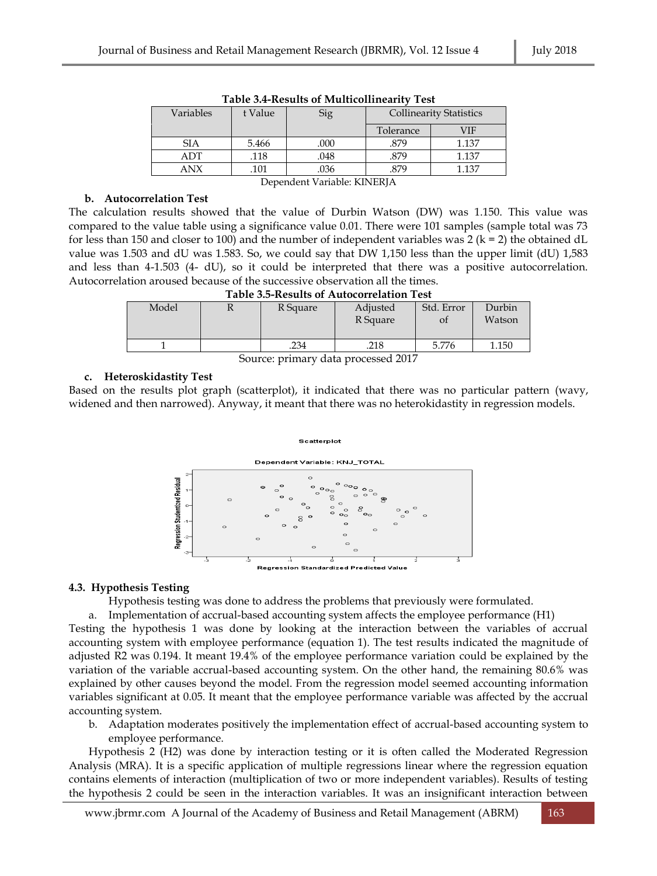| THEIC SIT INCOMING OF INTRILICATIONITIES<br>. |         |      |                                |       |  |  |  |  |  |
|-----------------------------------------------|---------|------|--------------------------------|-------|--|--|--|--|--|
| Variables                                     | t Value | Sig  | <b>Collinearity Statistics</b> |       |  |  |  |  |  |
|                                               |         |      | Tolerance                      | VIF   |  |  |  |  |  |
| <b>SIA</b>                                    | 5.466   | .000 | .879                           | 1.137 |  |  |  |  |  |
| ADT                                           | .118    | .048 | .879                           | 1.137 |  |  |  |  |  |
| ANX                                           | .101    | .879 | 1.137                          |       |  |  |  |  |  |
| Dependent Variable: KINERJA                   |         |      |                                |       |  |  |  |  |  |

#### **b. Autocorrelation Test**

The calculation results showed that the value of Durbin Watson (DW) was 1.150. This value was compared to the value table using a significance value 0.01. There were 101 samples (sample total was 73 for less than 150 and closer to 100) and the number of independent variables was 2 ( $k = 2$ ) the obtained dL value was 1.503 and dU was 1.583. So, we could say that DW 1,150 less than the upper limit (dU) 1,583 and less than 4-1.503 (4- dU), so it could be interpreted that there was a positive autocorrelation. Autocorrelation aroused because of the successive observation all the times.

| <b>Table 3.5-Results of Autocorrelation Test</b> |  |  |  |  |
|--------------------------------------------------|--|--|--|--|
|--------------------------------------------------|--|--|--|--|

| Model | R Square | Adjusted<br>R Square | Std. Error<br>Oİ | Durbin<br>Watson |
|-------|----------|----------------------|------------------|------------------|
|       | .234     | .218                 | 5.776            | 1.150            |
|       |          |                      |                  |                  |

Source: primary data processed 2017

#### **c. Heteroskidastity Test**

Based on the results plot graph (scatterplot), it indicated that there was no particular pattern (wavy, widened and then narrowed). Anyway, it meant that there was no heterokidastity in regression models.

#### Scatterplot



#### **4.3. Hypothesis Testing**

Hypothesis testing was done to address the problems that previously were formulated.

a. Implementation of accrual-based accounting system affects the employee performance (H1)

Testing the hypothesis 1 was done by looking at the interaction between the variables of accrual accounting system with employee performance (equation 1). The test results indicated the magnitude of adjusted R2 was 0.194. It meant 19.4% of the employee performance variation could be explained by the variation of the variable accrual-based accounting system. On the other hand, the remaining 80.6% was explained by other causes beyond the model. From the regression model seemed accounting information variables significant at 0.05. It meant that the employee performance variable was affected by the accrual accounting system.

b. Adaptation moderates positively the implementation effect of accrual-based accounting system to employee performance.

Hypothesis 2 (H2) was done by interaction testing or it is often called the Moderated Regression Analysis (MRA). It is a specific application of multiple regressions linear where the regression equation contains elements of interaction (multiplication of two or more independent variables). Results of testing the hypothesis 2 could be seen in the interaction variables. It was an insignificant interaction between

[www.jbrmr.com](http://www.jbrmr.com/) A Journal of the Academy of Business and Retail Management (ABRM) 163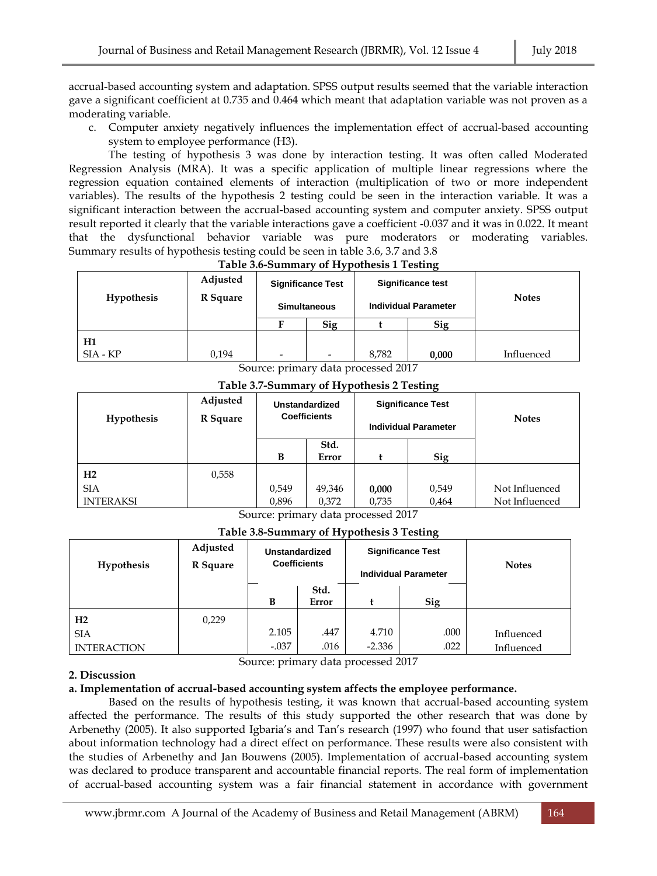accrual-based accounting system and adaptation. SPSS output results seemed that the variable interaction gave a significant coefficient at 0.735 and 0.464 which meant that adaptation variable was not proven as a moderating variable.

c. Computer anxiety negatively influences the implementation effect of accrual-based accounting system to employee performance (H3).

The testing of hypothesis 3 was done by interaction testing. It was often called Moderated Regression Analysis (MRA). It was a specific application of multiple linear regressions where the regression equation contained elements of interaction (multiplication of two or more independent variables). The results of the hypothesis 2 testing could be seen in the interaction variable. It was a significant interaction between the accrual-based accounting system and computer anxiety. SPSS output result reported it clearly that the variable interactions gave a coefficient -0.037 and it was in 0.022. It meant that the dysfunctional behavior variable was pure moderators or moderating variables. Summary results of hypothesis testing could be seen in table 3.6, 3.7 and 3.8

**Table 3.6-Summary of Hypothesis 1 Testing**

| <b>Hypothesis</b> | Adjusted<br>R Square | <b>Significance Test</b><br><b>Simultaneous</b> |                          | <b>Significance test</b><br><b>Individual Parameter</b> |       |            | <b>Notes</b> |
|-------------------|----------------------|-------------------------------------------------|--------------------------|---------------------------------------------------------|-------|------------|--------------|
|                   |                      | F                                               | Sig                      |                                                         | Sig   |            |              |
| H1                |                      |                                                 |                          |                                                         |       |            |              |
| $SIA - KP$        | 0,194                |                                                 | $\overline{\phantom{0}}$ | 8,782                                                   | 0,000 | Influenced |              |

Source: primary data processed 2017

**Table 3.7-Summary of Hypothesis 2 Testing**

| <b>Hypothesis</b> | Adjusted<br>R Square |       | <b>Unstandardized</b><br><b>Coefficients</b> |       | <b>Significance Test</b><br><b>Individual Parameter</b> | <b>Notes</b>   |
|-------------------|----------------------|-------|----------------------------------------------|-------|---------------------------------------------------------|----------------|
|                   |                      | B     | Std.<br>Error                                |       | Sig                                                     |                |
| H2                | 0,558                |       |                                              |       |                                                         |                |
| <b>SIA</b>        |                      | 0,549 | 49,346                                       | 0,000 | 0,549                                                   | Not Influenced |
| <b>INTERAKSI</b>  |                      | 0,896 | 0,372                                        | 0,735 | 0,464                                                   | Not Influenced |

Source: primary data processed 2017

**Table 3.8-Summary of Hypothesis 3 Testing**

| <b>Hypothesis</b>  | Adjusted<br>R Square | <b>Unstandardized</b><br><b>Coefficients</b> |               | <b>Significance Test</b><br><b>Individual Parameter</b> |            | <b>Notes</b> |
|--------------------|----------------------|----------------------------------------------|---------------|---------------------------------------------------------|------------|--------------|
|                    |                      | B                                            | Std.<br>Error |                                                         | <b>Sig</b> |              |
| H2                 | 0,229                |                                              |               |                                                         |            |              |
| <b>SIA</b>         |                      | 2.105                                        | .447          | 4.710                                                   | .000       | Influenced   |
| <b>INTERACTION</b> |                      | $-.037$                                      | .016          | $-2.336$                                                | .022       | Influenced   |

Source: primary data processed 2017

#### **2. Discussion**

#### **a. Implementation of accrual-based accounting system affects the employee performance.**

Based on the results of hypothesis testing, it was known that accrual-based accounting system affected the performance. The results of this study supported the other research that was done by Arbenethy (2005). It also supported Igbaria's and Tan's research (1997) who found that user satisfaction about information technology had a direct effect on performance. These results were also consistent with the studies of Arbenethy and Jan Bouwens (2005). Implementation of accrual-based accounting system was declared to produce transparent and accountable financial reports. The real form of implementation of accrual-based accounting system was a fair financial statement in accordance with government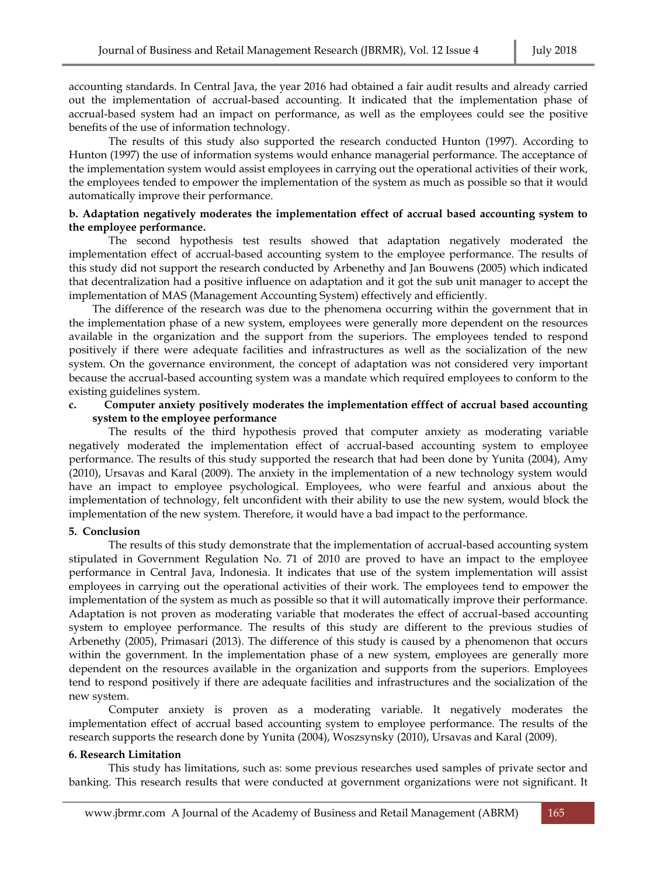accounting standards. In Central Java, the year 2016 had obtained a fair audit results and already carried out the implementation of accrual-based accounting. It indicated that the implementation phase of accrual-based system had an impact on performance, as well as the employees could see the positive benefits of the use of information technology.

The results of this study also supported the research conducted Hunton (1997). According to Hunton (1997) the use of information systems would enhance managerial performance. The acceptance of the implementation system would assist employees in carrying out the operational activities of their work, the employees tended to empower the implementation of the system as much as possible so that it would automatically improve their performance.

#### **b. Adaptation negatively moderates the implementation effect of accrual based accounting system to the employee performance.**

The second hypothesis test results showed that adaptation negatively moderated the implementation effect of accrual-based accounting system to the employee performance. The results of this study did not support the research conducted by Arbenethy and Jan Bouwens (2005) which indicated that decentralization had a positive influence on adaptation and it got the sub unit manager to accept the implementation of MAS (Management Accounting System) effectively and efficiently.

The difference of the research was due to the phenomena occurring within the government that in the implementation phase of a new system, employees were generally more dependent on the resources available in the organization and the support from the superiors. The employees tended to respond positively if there were adequate facilities and infrastructures as well as the socialization of the new system. On the governance environment, the concept of adaptation was not considered very important because the accrual-based accounting system was a mandate which required employees to conform to the existing guidelines system.

#### **c. Computer anxiety positively moderates the implementation efffect of accrual based accounting system to the employee performance**

The results of the third hypothesis proved that computer anxiety as moderating variable negatively moderated the implementation effect of accrual-based accounting system to employee performance. The results of this study supported the research that had been done by Yunita (2004), Amy (2010), Ursavas and Karal (2009). The anxiety in the implementation of a new technology system would have an impact to employee psychological. Employees, who were fearful and anxious about the implementation of technology, felt unconfident with their ability to use the new system, would block the implementation of the new system. Therefore, it would have a bad impact to the performance.

#### **5. Conclusion**

The results of this study demonstrate that the implementation of accrual-based accounting system stipulated in Government Regulation No. 71 of 2010 are proved to have an impact to the employee performance in Central Java, Indonesia. It indicates that use of the system implementation will assist employees in carrying out the operational activities of their work. The employees tend to empower the implementation of the system as much as possible so that it will automatically improve their performance. Adaptation is not proven as moderating variable that moderates the effect of accrual-based accounting system to employee performance. The results of this study are different to the previous studies of Arbenethy (2005), Primasari (2013). The difference of this study is caused by a phenomenon that occurs within the government. In the implementation phase of a new system, employees are generally more dependent on the resources available in the organization and supports from the superiors. Employees tend to respond positively if there are adequate facilities and infrastructures and the socialization of the new system.

Computer anxiety is proven as a moderating variable. It negatively moderates the implementation effect of accrual based accounting system to employee performance. The results of the research supports the research done by Yunita (2004), Woszsynsky (2010), Ursavas and Karal (2009).

#### **6. Research Limitation**

This study has limitations, such as: some previous researches used samples of private sector and banking. This research results that were conducted at government organizations were not significant. It